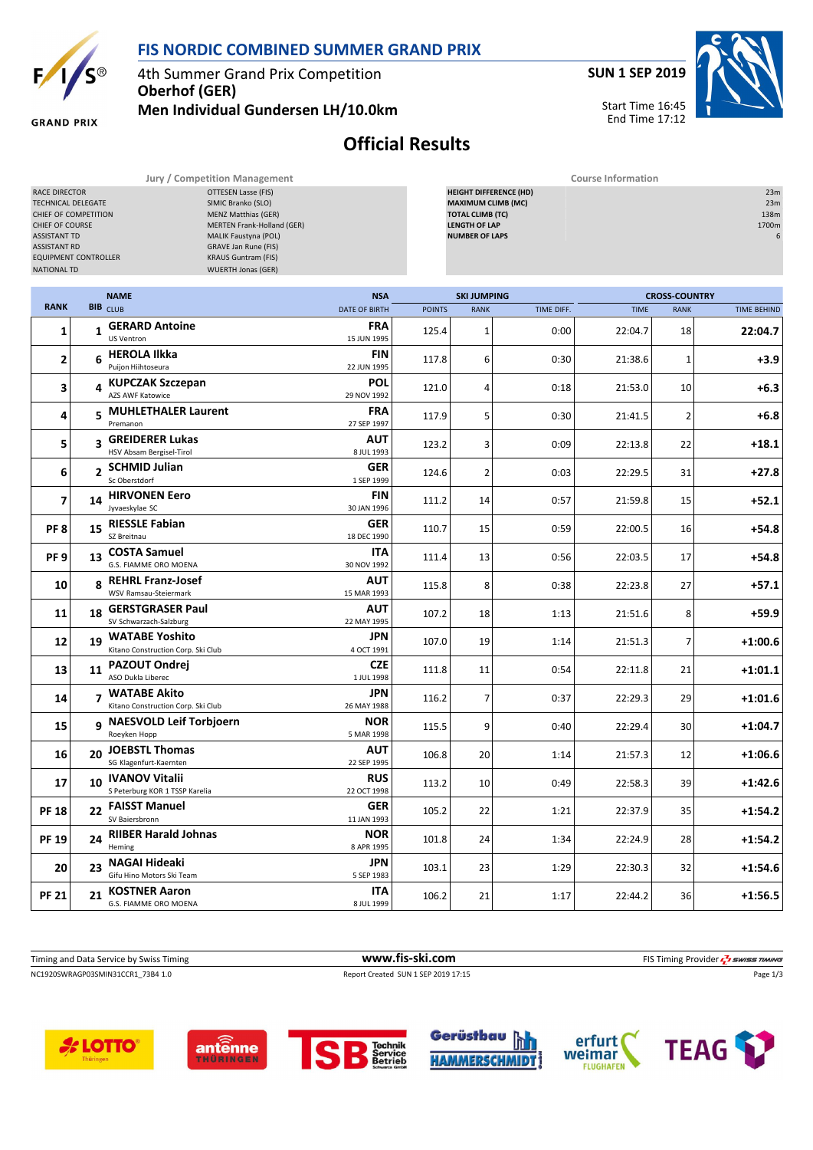

**GRAND PRIX** 

## **FIS NORDIC COMBINED SUMMER GRAND PRIX**

4th Summer Grand Prix Competition **Oberhof (GER)**

**Men Individual Gundersen LH/10.0km**



Start Time 16:45 End Time 17:12



**Official Results**

**Jury / Competition Management Course Information**

| OTTESEN Lasse (FIS)<br>RACE DIRECTOR<br>SIMIC Branko (SLO)<br>TECHNICAL DELEGATE<br><b>MENZ Matthias (GER)</b><br>CHIEF OF COMPETITION<br>MERTEN Frank-Holland (GER)<br>CHIEF OF COURSE<br><b>ASSISTANT TD</b><br>MALIK Faustyna (POL)<br><b>ASSISTANT RD</b><br><b>GRAVE Jan Rune (FIS)</b><br><b>EQUIPMENT CONTROLLER</b><br><b>KRAUS Guntram (FIS)</b><br><b>WUERTH Jonas (GER)</b><br><b>NATIONAL TD</b> |                |                                                         |  |                           |               | <b>HEIGHT DIFFERENCE (HD)</b><br><b>MAXIMUM CLIMB (MC)</b><br><b>TOTAL CLIMB (TC)</b><br><b>LENGTH OF LAP</b><br><b>NUMBER OF LAPS</b> |            |             |                      | 23m<br>23m<br>138m<br>1700m<br>6 |
|--------------------------------------------------------------------------------------------------------------------------------------------------------------------------------------------------------------------------------------------------------------------------------------------------------------------------------------------------------------------------------------------------------------|----------------|---------------------------------------------------------|--|---------------------------|---------------|----------------------------------------------------------------------------------------------------------------------------------------|------------|-------------|----------------------|----------------------------------|
|                                                                                                                                                                                                                                                                                                                                                                                                              |                | <b>NAME</b>                                             |  | <b>NSA</b>                |               | <b>SKI JUMPING</b>                                                                                                                     |            |             | <b>CROSS-COUNTRY</b> |                                  |
| <b>RANK</b>                                                                                                                                                                                                                                                                                                                                                                                                  |                | <b>BIB</b> CLUB                                         |  | <b>DATE OF BIRTH</b>      | <b>POINTS</b> | <b>RANK</b>                                                                                                                            | TIME DIFF. | <b>TIME</b> | <b>RANK</b>          | <b>TIME BEHIND</b>               |
| 1                                                                                                                                                                                                                                                                                                                                                                                                            |                | 1 GERARD Antoine<br>US Ventron                          |  | FRA<br>15 JUN 1995        | 125.4         | $\mathbf{1}$                                                                                                                           | 0:00       | 22:04.7     | 18                   | 22:04.7                          |
| 2                                                                                                                                                                                                                                                                                                                                                                                                            |                | 6 HEROLA Ilkka<br>Puijon Hiihtoseura                    |  | FIN<br>22 JUN 1995        | 117.8         | 6                                                                                                                                      | 0:30       | 21:38.6     | 1                    | $+3.9$                           |
| 3                                                                                                                                                                                                                                                                                                                                                                                                            |                | 4 KUPCZAK Szczepan<br>AZS AWF Katowice                  |  | POL<br>29 NOV 1992        | 121.0         | 4                                                                                                                                      | 0:18       | 21:53.0     | 10                   | +6.3                             |
| 4                                                                                                                                                                                                                                                                                                                                                                                                            |                | 5 MUHLETHALER Laurent<br>Premanon                       |  | FRA<br>27 SEP 1997        | 117.9         | 5                                                                                                                                      | 0:30       | 21:41.5     | 2                    | $+6.8$                           |
| 5                                                                                                                                                                                                                                                                                                                                                                                                            |                | 3 GREIDERER Lukas<br>HSV Absam Bergisel-Tirol           |  | AUT<br>8 JUL 1993         | 123.2         | 3                                                                                                                                      | 0:09       | 22:13.8     | 22                   | $+18.1$                          |
| 6                                                                                                                                                                                                                                                                                                                                                                                                            | $\overline{2}$ | <b>SCHMID Julian</b><br>Sc Oberstdorf                   |  | <b>GER</b><br>1 SEP 1999  | 124.6         | $\overline{2}$                                                                                                                         | 0:03       | 22:29.5     | 31                   | $+27.8$                          |
| 7                                                                                                                                                                                                                                                                                                                                                                                                            |                | 14 HIRVONEN Eero<br>Jyvaeskylae SC                      |  | FIN<br>30 JAN 1996        | 111.2         | 14                                                                                                                                     | 0:57       | 21:59.8     | 15                   | $+52.1$                          |
| PF <sub>8</sub>                                                                                                                                                                                                                                                                                                                                                                                              |                | 15 RIESSLE Fabian<br>SZ Breitnau                        |  | <b>GER</b><br>18 DEC 1990 | 110.7         | 15                                                                                                                                     | 0:59       | 22:00.5     | 16                   | +54.8                            |
| PF <sub>9</sub>                                                                                                                                                                                                                                                                                                                                                                                              |                | 13 COSTA Samuel<br>G.S. FIAMME ORO MOENA                |  | ITA<br>30 NOV 1992        | 111.4         | 13                                                                                                                                     | 0:56       | 22:03.5     | 17                   | +54.8                            |
| 10                                                                                                                                                                                                                                                                                                                                                                                                           |                | 8 REHRL Franz-Josef<br>WSV Ramsau-Steiermark            |  | AUT<br>15 MAR 1993        | 115.8         | 8                                                                                                                                      | 0:38       | 22:23.8     | 27                   | $+57.1$                          |
| 11                                                                                                                                                                                                                                                                                                                                                                                                           | 18             | <b>GERSTGRASER Paul</b><br>SV Schwarzach-Salzburg       |  | AUT<br>22 MAY 1995        | 107.2         | 18                                                                                                                                     | 1:13       | 21:51.6     | 8                    | $+59.9$                          |
| 12                                                                                                                                                                                                                                                                                                                                                                                                           |                | 19 WATABE Yoshito<br>Kitano Construction Corp. Ski Club |  | JPN<br>4 OCT 1991         | 107.0         | 19                                                                                                                                     | 1:14       | 21:51.3     | 7                    | +1:00.6                          |
| 13                                                                                                                                                                                                                                                                                                                                                                                                           |                | 11 PAZOUT Ondrej<br>ASO Dukla Liberec                   |  | <b>CZE</b><br>1 JUL 1998  | 111.8         | 11                                                                                                                                     | 0:54       | 22:11.8     | 21                   | $+1:01.1$                        |
| 14                                                                                                                                                                                                                                                                                                                                                                                                           |                | 7 WATABE Akito<br>Kitano Construction Corp. Ski Club    |  | JPN<br>26 MAY 1988        | 116.2         | $\overline{7}$                                                                                                                         | 0:37       | 22:29.3     | 29                   | $+1:01.6$                        |
| 15                                                                                                                                                                                                                                                                                                                                                                                                           |                | 9 NAESVOLD Leif Torbjoern<br>Roeyken Hopp               |  | <b>NOR</b><br>5 MAR 1998  | 115.5         | 9                                                                                                                                      | 0:40       | 22:29.4     | 30                   | +1:04.7                          |
| 16                                                                                                                                                                                                                                                                                                                                                                                                           |                | 20 JOEBSTL Thomas<br>SG Klagenfurt-Kaernten             |  | AUT<br>22 SEP 1995        | 106.8         | 20                                                                                                                                     | 1:14       | 21:57.3     | 12                   | +1:06.6                          |
| 17                                                                                                                                                                                                                                                                                                                                                                                                           | 10             | <b>IVANOV Vitalii</b><br>S Peterburg KOR 1 TSSP Karelia |  | <b>RUS</b><br>22 OCT 1998 | 113.2         | 10                                                                                                                                     | 0:49       | 22:58.3     | 39                   | $+1:42.6$                        |
| <b>PF 18</b>                                                                                                                                                                                                                                                                                                                                                                                                 | 22             | <b>FAISST Manuel</b><br>SV Baiersbronn                  |  | <b>GER</b><br>11 JAN 1993 | 105.2         | 22                                                                                                                                     | 1:21       | 22:37.9     | 35                   | $+1:54.2$                        |
| <b>PF 19</b>                                                                                                                                                                                                                                                                                                                                                                                                 |                | 24 RIIBER Harald Johnas<br>Heming                       |  | <b>NOR</b><br>8 APR 1995  | 101.8         | 24                                                                                                                                     | 1:34       | 22:24.9     | 28                   | $+1:54.2$                        |
| 20                                                                                                                                                                                                                                                                                                                                                                                                           | 23             | NAGAI Hideaki<br>Gifu Hino Motors Ski Team              |  | JPN<br>5 SEP 1983         | 103.1         | 23                                                                                                                                     | 1:29       | 22:30.3     | 32                   | $+1:54.6$                        |
| <b>PF 21</b>                                                                                                                                                                                                                                                                                                                                                                                                 | 21             | <b>KOSTNER Aaron</b><br>G.S. FIAMME ORO MOENA           |  | ITA<br>8 JUL 1999         | 106.2         | 21                                                                                                                                     | 1:17       | 22:44.2     | 36                   | $+1:56.5$                        |

NC1920SWRAGP03SMIN31CCR1\_73B4 1.0 Report Created SUN 1 SEP 2019 17:15 Page 1/3 Timing and Data Service by Swiss Timing **www.fis-ski.com www.fis-ski.com** FIS Timing Provider  $\frac{7}{2}$  swiss Timing











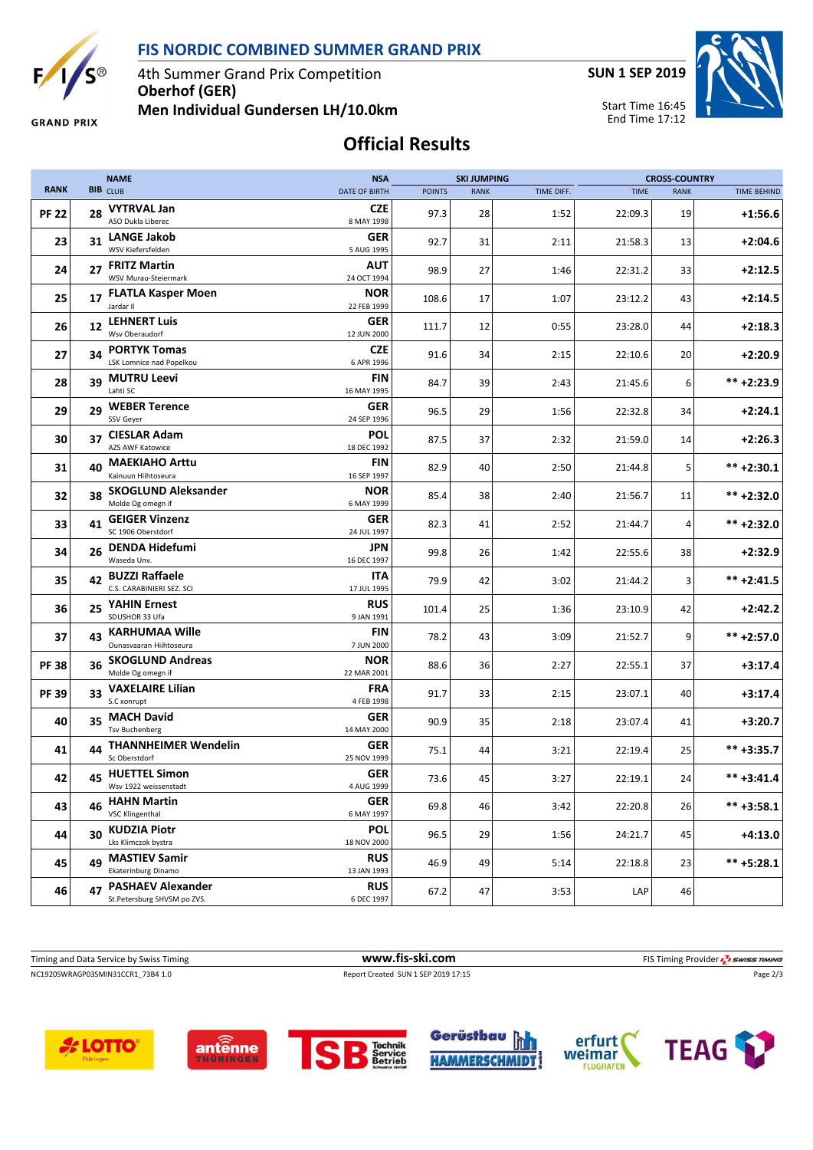**FIS NORDIC COMBINED SUMMER GRAND PRIX**



4th Summer Grand Prix Competition **Oberhof (GER)**

**SUN 1 SEP 2019**

Start Time 16:45 End Time 17:12



**GRAND PRIX** 

**Men Individual Gundersen LH/10.0km**

**Official Results**

|              |    | <b>NAME</b>                                             | <b>NSA</b>                |               | <b>SKI JUMPING</b> |            |             |             | <b>CROSS-COUNTRY</b> |  |
|--------------|----|---------------------------------------------------------|---------------------------|---------------|--------------------|------------|-------------|-------------|----------------------|--|
| <b>RANK</b>  |    | BIB CLUB                                                | <b>DATE OF BIRTH</b>      | <b>POINTS</b> | <b>RANK</b>        | TIME DIFF. | <b>TIME</b> | <b>RANK</b> | <b>TIME BEHIND</b>   |  |
| <b>PF 22</b> | 28 | <b>VYTRVAL Jan</b><br>ASO Dukla Liberec                 | <b>CZE</b><br>8 MAY 1998  | 97.3          | 28                 | 1:52       | 22:09.3     | 19          | $+1:56.6$            |  |
| 23           | 31 | <b>LANGE Jakob</b><br>WSV Kiefersfelden                 | GER<br>5 AUG 1995         | 92.7          | 31                 | 2:11       | 21:58.3     | 13          | $+2:04.6$            |  |
| 24           | 27 | <b>FRITZ Martin</b><br>WSV Murau-Steiermark             | AUT<br>24 OCT 1994        | 98.9          | 27                 | 1:46       | 22:31.2     | 33          | $+2:12.5$            |  |
| 25           |    | 17 FLATLA Kasper Moen<br>Jardar II                      | <b>NOR</b><br>22 FEB 1999 | 108.6         | 17                 | 1:07       | 23:12.2     | 43          | $+2:14.5$            |  |
| 26           | 12 | <b>LEHNERT Luis</b><br>Wsv Oberaudorf                   | GER<br>12 JUN 2000        | 111.7         | 12                 | 0:55       | 23:28.0     | 44          | $+2:18.3$            |  |
| 27           | 34 | <b>PORTYK Tomas</b><br>LSK Lomnice nad Popelkou         | <b>CZE</b><br>6 APR 1996  | 91.6          | 34                 | 2:15       | 22:10.6     | 20          | $+2:20.9$            |  |
| 28           | 39 | <b>MUTRU Leevi</b><br>Lahti SC                          | <b>FIN</b><br>16 MAY 1995 | 84.7          | 39                 | 2:43       | 21:45.6     | 6           | $*** + 2:23.9$       |  |
| 29           | 29 | <b>WEBER Terence</b><br>SSV Geyer                       | <b>GER</b><br>24 SEP 1996 | 96.5          | 29                 | 1:56       | 22:32.8     | 34          | $+2:24.1$            |  |
| 30           | 37 | <b>CIESLAR Adam</b><br>AZS AWF Katowice                 | <b>POL</b><br>18 DEC 1992 | 87.5          | 37                 | 2:32       | 21:59.0     | 14          | $+2:26.3$            |  |
| 31           | 40 | <b>MAEKIAHO Arttu</b><br>Kainuun Hiihtoseura            | FIN<br>16 SEP 1997        | 82.9          | 40                 | 2:50       | 21:44.8     | 5           | $*** + 2:30.1$       |  |
| 32           | 38 | <b>SKOGLUND Aleksander</b><br>Molde Og omegn if         | <b>NOR</b><br>6 MAY 1999  | 85.4          | 38                 | 2:40       | 21:56.7     | 11          | $*** + 2:32.0$       |  |
| 33           | 41 | <b>GEIGER Vinzenz</b><br>SC 1906 Oberstdorf             | GER<br>24 JUL 1997        | 82.3          | 41                 | 2:52       | 21:44.7     | 4           | $*** +2:32.0$        |  |
| 34           | 26 | <b>DENDA Hidefumi</b><br>Waseda Unv.                    | JPN<br>16 DEC 1997        | 99.8          | 26                 | 1:42       | 22:55.6     | 38          | $+2:32.9$            |  |
| 35           | 42 | <b>BUZZI Raffaele</b><br>C.S. CARABINIERI SEZ. SCI      | ITA<br>17 JUL 1995        | 79.9          | 42                 | 3:02       | 21:44.2     | 3           | $*** + 2:41.5$       |  |
| 36           |    | 25 YAHIN Ernest<br>SDUSHOR 33 Ufa                       | <b>RUS</b><br>9 JAN 1991  | 101.4         | 25                 | 1:36       | 23:10.9     | 42          | $+2:42.2$            |  |
| 37           |    | 43 KARHUMAA Wille<br>Ounasvaaran Hiihtoseura            | <b>FIN</b><br>7 JUN 2000  | 78.2          | 43                 | 3:09       | 21:52.7     | 9           | $*** + 2:57.0$       |  |
| <b>PF38</b>  | 36 | <b>SKOGLUND Andreas</b><br>Molde Og omegn if            | <b>NOR</b><br>22 MAR 2001 | 88.6          | 36                 | 2:27       | 22:55.1     | 37          | $+3:17.4$            |  |
| <b>PF 39</b> |    | 33 VAXELAIRE Lilian<br>S.C xonrupt                      | <b>FRA</b><br>4 FEB 1998  | 91.7          | 33                 | 2:15       | 23:07.1     | 40          | $+3:17.4$            |  |
| 40           |    | 35 MACH David<br><b>Tsv Buchenberg</b>                  | <b>GER</b><br>14 MAY 2000 | 90.9          | 35                 | 2:18       | 23:07.4     | 41          | +3:20.7              |  |
| 41           |    | 44 THANNHEIMER Wendelin<br>Sc Oberstdorf                | GER<br>25 NOV 1999        | 75.1          | 44                 | 3:21       | 22:19.4     | 25          | $*** +3:35.7$        |  |
| 42           |    | 45 HUETTEL Simon<br>Wsv 1922 weissenstadt               | GER<br>4 AUG 1999         | 73.6          | 45                 | 3:27       | 22:19.1     | 24          | $*** +3:41.4$        |  |
| 43           | 46 | <b>HAHN Martin</b><br><b>VSC Klingenthal</b>            | <b>GER</b><br>6 MAY 1997  | 69.8          | 46                 | 3:42       | 22:20.8     | 26          | $*** +3:58.1$        |  |
| 44           | 30 | <b>KUDZIA Piotr</b><br>Lks Klimczok bystra              | <b>POL</b><br>18 NOV 2000 | 96.5          | 29                 | 1:56       | 24:21.7     | 45          | $+4:13.0$            |  |
| 45           | 49 | <b>MASTIEV Samir</b><br>Ekaterinburg Dinamo             | <b>RUS</b><br>13 JAN 1993 | 46.9          | 49                 | 5:14       | 22:18.8     | 23          | $*** +5:28.1$        |  |
| 46           | 47 | <b>PASHAEV Alexander</b><br>St.Petersburg SHVSM po ZVS. | <b>RUS</b><br>6 DEC 1997  | 67.2          | 47                 | 3:53       | LAP         | 46          |                      |  |

NC1920SWRAGP03SMIN31CCR1\_73B4 1.0 Report Created SUN 1 SEP 2019 17:15 Page 2/3 Timing and Data Service by Swiss Timing **www.fis-ski.com www.fis-ski.com** FIS Timing Provider  $\frac{7}{2}$  SWISS TIMING